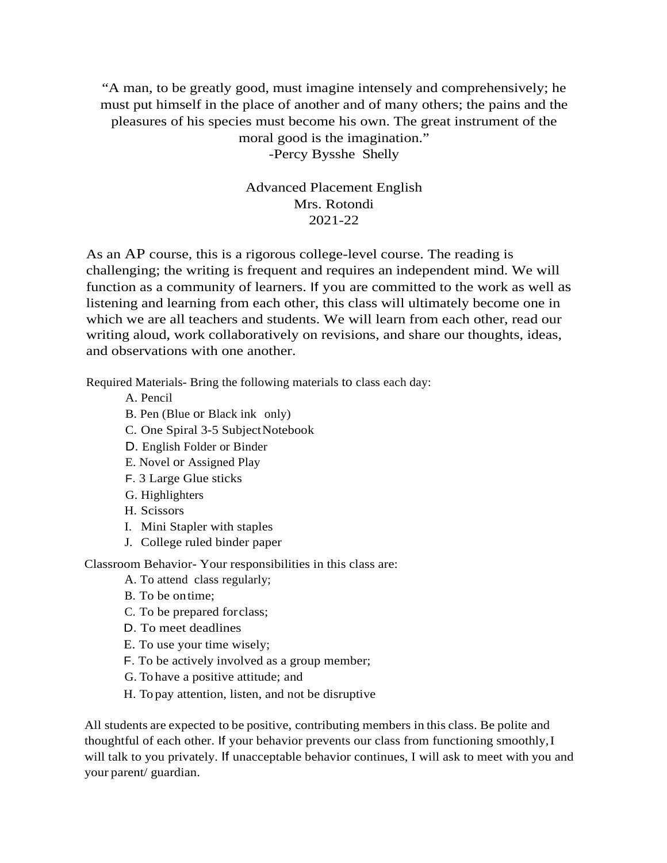"A man, to be greatly good, must imagine intensely and comprehensively; he must put himself in the place of another and of many others; the pains and the pleasures of his species must become his own. The great instrument of the moral good is the imagination." -Percy Bysshe Shelly

> Advanced Placement English Mrs. Rotondi 2021-22

As an AP course, this is a rigorous college-level course. The reading is challenging; the writing is frequent and requires an independent mind. We will function as a community of learners. If you are committed to the work as well as listening and learning from each other, this class will ultimately become one in which we are all teachers and students. We will learn from each other, read our writing aloud, work collaboratively on revisions, and share our thoughts, ideas, and observations with one another.

Required Materials- Bring the following materials to class each day:

- A. Pencil
- B. Pen (Blue or Black ink only)
- C. One Spiral 3-5 SubjectNotebook
- D. English Folder or Binder
- E. Novel or Assigned Play
- F. 3 Large Glue sticks
- G. Highlighters
- H. Scissors
- I. Mini Stapler with staples
- J. College ruled binder paper

Classroom Behavior- Your responsibilities in this class are:

- A. To attend class regularly;
- B. To be ontime;
- C. To be prepared forclass;
- D. To meet deadlines
- E. To use your time wisely;
- F. To be actively involved as a group member;
- G. To have a positive attitude; and
- H. To pay attention, listen, and not be disruptive

All students are expected to be positive, contributing members in this class. Be polite and thoughtful of each other. If your behavior prevents our class from functioning smoothly,I will talk to you privately. If unacceptable behavior continues, I will ask to meet with you and your parent/ guardian.